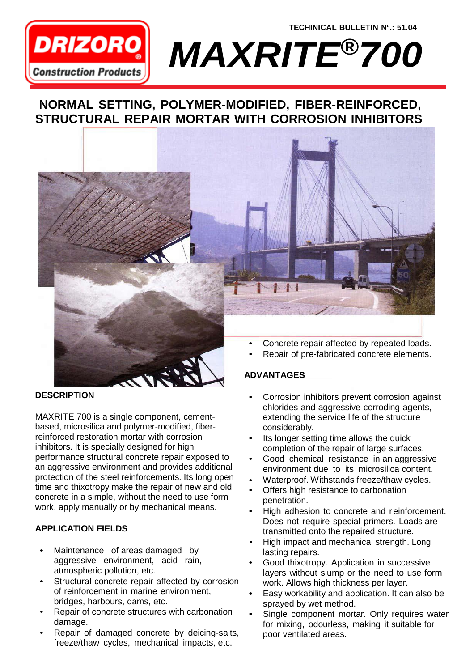

**TECHINICAL BULLETIN Nº.: 51.04** *MAXRITE®700*

# **NORMAL SETTING, POLYMER-MODIFIED, FIBER-REINFORCED, STRUCTURAL REPAIR MORTAR WITH CORROSION INHIBITORS**



## **DESCRIPTION**

MAXRITE 700 is a single component, cementbased, microsilica and polymer-modified, fiberreinforced restoration mortar with corrosion inhibitors. It is specially designed for high performance structural concrete repair exposed to an aggressive environment and provides additional protection of the steel reinforcements. Its long open time and thixotropy make the repair of new and old concrete in a simple, without the need to use form work, apply manually or by mechanical means.

# **APPLICATION FIELDS**

- Maintenance of areas damaged by aggressive environment, acid rain, atmospheric pollution, etc.
- Structural concrete repair affected by corrosion of reinforcement in marine environment, bridges, harbours, dams, etc.
- Repair of concrete structures with carbonation damage.
- Repair of damaged concrete by deicing-salts, freeze/thaw cycles, mechanical impacts, etc.
- Corrosion inhibitors prevent corrosion against chlorides and aggressive corroding agents, extending the service life of the structure considerably. •
- Its longer setting time allows the quick completion of the repair of large surfaces. •
- Good chemical resistance in an aggressive environment due to its microsilica content. •
- Waterproof. Withstands freeze/thaw cycles. •
- Offers high resistance to carbonation penetration. •
- High adhesion to concrete and reinforcement. Does not require special primers. Loads are transmitted onto the repaired structure. •
- High impact and mechanical strength. Long lasting repairs. •
- Good thixotropy. Application in successive layers without slump or the need to use form work. Allows high thickness per layer. •
- Easy workability and application. It can also be sprayed by wet method. •
- Single component mortar. Only requires water for mixing, odourless, making it suitable for poor ventilated areas. •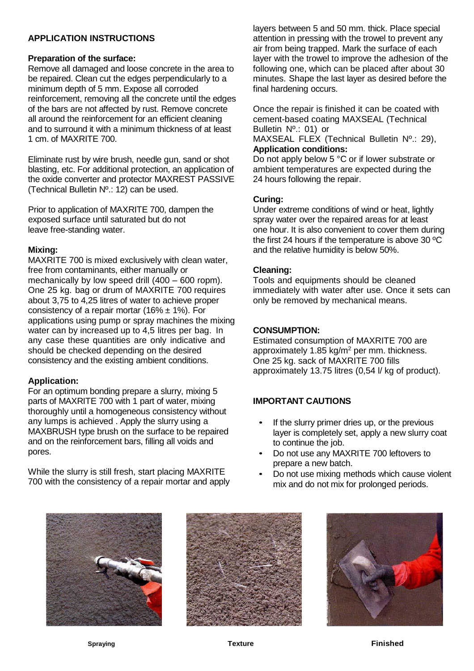# **APPLICATION INSTRUCTIONS**

#### **Preparation of the surface:**

Remove all damaged and loose concrete in the area to be repaired. Clean cut the edges perpendicularly to a minimum depth of 5 mm. Expose all corroded reinforcement, removing all the concrete until the edges of the bars are not affected by rust. Remove concrete all around the reinforcement for an efficient cleaning and to surround it with a minimum thickness of at least 1 cm. of MAXRITE 700.

Eliminate rust by wire brush, needle gun, sand or shot blasting, etc. For additional protection, an application of the oxide converter and protector MAXREST PASSIVE (Technical Bulletin Nº.: 12) can be used.

Prior to application of MAXRITE 700, dampen the exposed surface until saturated but do not leave free-standing water.

#### **Mixing:**

MAXRITE 700 is mixed exclusively with clean water, free from contaminants, either manually or mechanically by low speed drill (400 – 600 ropm). One 25 kg. bag or drum of MAXRITE 700 requires about 3,75 to 4,25 litres of water to achieve proper consistency of a repair mortar (16%  $\pm$  1%). For applications using pump or spray machines the mixing water can by increased up to 4,5 litres per bag. In any case these quantities are only indicative and should be checked depending on the desired consistency and the existing ambient conditions.

## **Application:**

For an optimum bonding prepare a slurry, mixing 5 parts of MAXRITE 700 with 1 part of water, mixing thoroughly until a homogeneous consistency without any lumps is achieved . Apply the slurry using a MAXBRUSH type brush on the surface to be repaired and on the reinforcement bars, filling all voids and pores.

While the slurry is still fresh, start placing MAXRITE 700 with the consistency of a repair mortar and apply layers between 5 and 50 mm. thick. Place special attention in pressing with the trowel to prevent any air from being trapped. Mark the surface of each layer with the trowel to improve the adhesion of the following one, which can be placed after about 30 minutes. Shape the last layer as desired before the final hardening occurs.

Once the repair is finished it can be coated with cement-based coating MAXSEAL (Technical Bulletin Nº.: 01) or

MAXSEAL FLEX (Technical Bulletin Nº.: 29), **Application conditions:**

Do not apply below 5 °C or if lower substrate or ambient temperatures are expected during the 24 hours following the repair.

## **Curing:**

Under extreme conditions of wind or heat, lightly spray water over the repaired areas for at least one hour. It is also convenient to cover them during the first 24 hours if the temperature is above 30 ºC and the relative humidity is below 50%.

#### **Cleaning:**

Tools and equipments should be cleaned immediately with water after use. Once it sets can only be removed by mechanical means.

#### **CONSUMPTION:**

Estimated consumption of MAXRITE 700 are approximately 1.85 kg/m<sup>2</sup> per mm. thickness. One 25 kg. sack of MAXRITE 700 fills approximately 13.75 litres (0,54 l/ kg of product).

## **IMPORTANT CAUTIONS**

- If the slurry primer dries up, or the previous layer is completely set, apply a new slurry coat to continue the job.
- Do not use any MAXRITE 700 leftovers to prepare a new batch.
- Do not use mixing methods which cause violent mix and do not mix for prolonged periods.





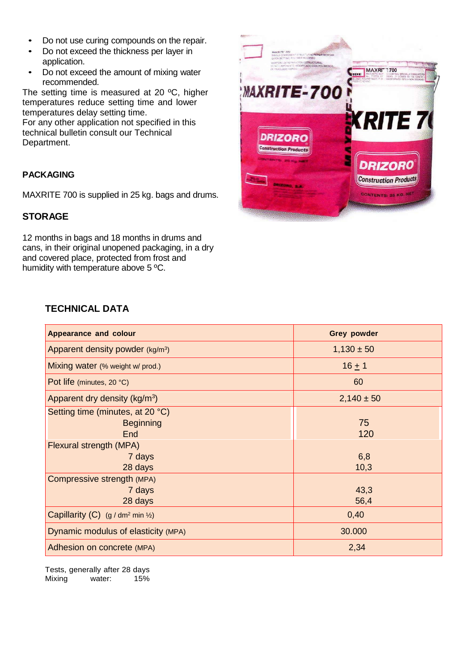- Do not use curing compounds on the repair.
- Do not exceed the thickness per layer in application.
- Do not exceed the amount of mixing water recommended.

The setting time is measured at 20 ºC, higher temperatures reduce setting time and lower temperatures delay setting time.

For any other application not specified in this technical bulletin consult our Technical Department.

# **PACKAGING**

MAXRITE 700 is supplied in 25 kg. bags and drums.

# **STORAGE**

12 months in bags and 18 months in drums and cans, in their original unopened packaging, in a dry and covered place, protected from frost and humidity with temperature above 5 ºC.



# **TECHNICAL DATA**

| <b>Appearance and colour</b>                                | <b>Grey powder</b> |
|-------------------------------------------------------------|--------------------|
| Apparent density powder $(kg/m3)$                           | $1,130 \pm 50$     |
| Mixing water (% weight w/ prod.)                            | $16 + 1$           |
| Pot life (minutes, 20 °C)                                   | 60                 |
| Apparent dry density (kg/m <sup>3</sup> )                   | $2,140 \pm 50$     |
| Setting time (minutes, at 20 °C)<br><b>Beginning</b><br>End | 75<br>120          |
| Flexural strength (MPA)                                     |                    |
| 7 days                                                      | 6,8                |
| 28 days                                                     | 10,3               |
| Compressive strength (MPA)                                  |                    |
| 7 days                                                      | 43,3               |
| 28 days                                                     | 56,4               |
| Capillarity (C) $(g/dm^2 min \frac{1}{2})$                  | 0,40               |
| Dynamic modulus of elasticity (MPA)                         | 30.000             |
| Adhesion on concrete (MPA)                                  | 2,34               |

Tests, generally after 28 days Mixing water: 15%